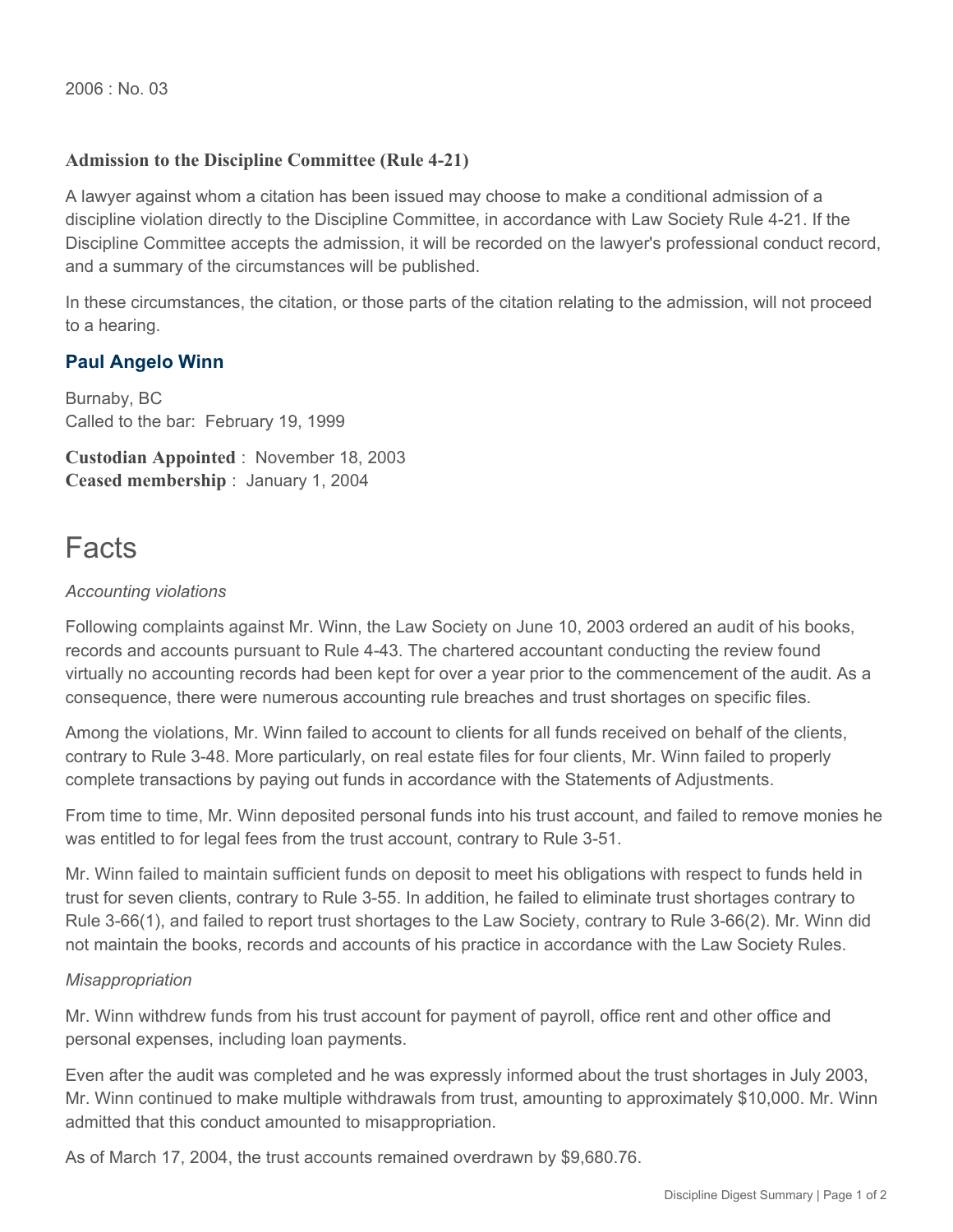## **Admission to the Discipline Committee (Rule 4-21)**

A lawyer against whom a citation has been issued may choose to make a conditional admission of a discipline violation directly to the Discipline Committee, in accordance with Law Society Rule 4-21. If the Discipline Committee accepts the admission, it will be recorded on the lawyer's professional conduct record, and a summary of the circumstances will be published.

In these circumstances, the citation, or those parts of the citation relating to the admission, will not proceed to a hearing.

## **Paul Angelo Winn**

Burnaby, BC Called to the bar: February 19, 1999

**Custodian Appointed** : November 18, 2003 **Ceased membership** : January 1, 2004

# Facts

#### *Accounting violations*

Following complaints against Mr. Winn, the Law Society on June 10, 2003 ordered an audit of his books, records and accounts pursuant to Rule 4-43. The chartered accountant conducting the review found virtually no accounting records had been kept for over a year prior to the commencement of the audit. As a consequence, there were numerous accounting rule breaches and trust shortages on specific files.

Among the violations, Mr. Winn failed to account to clients for all funds received on behalf of the clients, contrary to Rule 3-48. More particularly, on real estate files for four clients, Mr. Winn failed to properly complete transactions by paying out funds in accordance with the Statements of Adjustments.

From time to time, Mr. Winn deposited personal funds into his trust account, and failed to remove monies he was entitled to for legal fees from the trust account, contrary to Rule 3-51.

Mr. Winn failed to maintain sufficient funds on deposit to meet his obligations with respect to funds held in trust for seven clients, contrary to Rule 3-55. In addition, he failed to eliminate trust shortages contrary to Rule 3-66(1), and failed to report trust shortages to the Law Society, contrary to Rule 3-66(2). Mr. Winn did not maintain the books, records and accounts of his practice in accordance with the Law Society Rules.

#### *Misappropriation*

Mr. Winn withdrew funds from his trust account for payment of payroll, office rent and other office and personal expenses, including loan payments.

Even after the audit was completed and he was expressly informed about the trust shortages in July 2003, Mr. Winn continued to make multiple withdrawals from trust, amounting to approximately \$10,000. Mr. Winn admitted that this conduct amounted to misappropriation.

As of March 17, 2004, the trust accounts remained overdrawn by \$9,680.76.